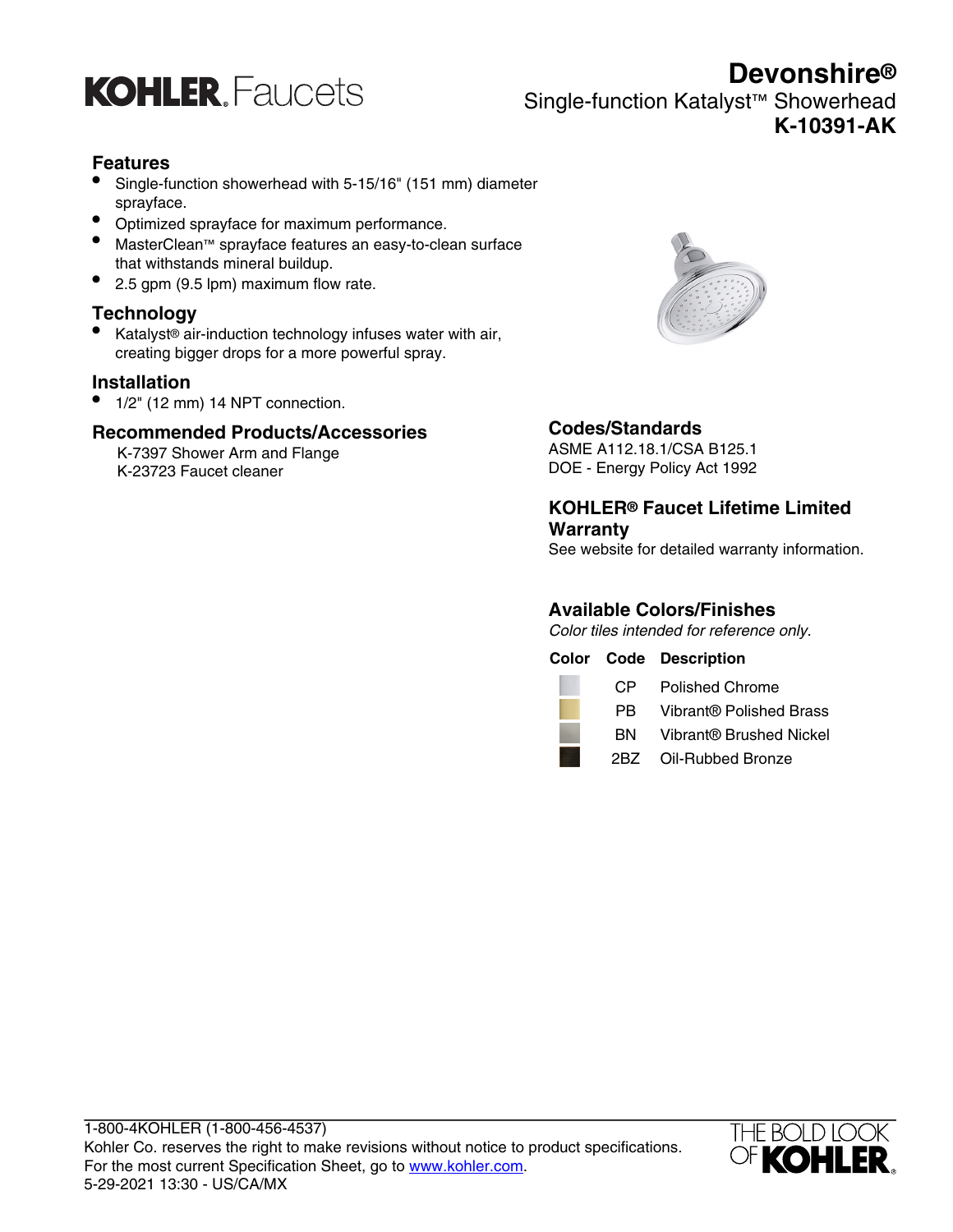

**Devonshire®** Single-function Katalyst™ Showerhead **K-10391-AK**

## **Features**

- Single-function showerhead with 5-15/16" (151 mm) diameter sprayface.
- Optimized sprayface for maximum performance.
- MasterClean™ sprayface features an easy-to-clean surface that withstands mineral buildup.
- 2.5 gpm (9.5 lpm) maximum flow rate.

## **Technology**

• Katalyst® air-induction technology infuses water with air, creating bigger drops for a more powerful spray.

## **Installation**

• 1/2" (12 mm) 14 NPT connection.

## **Recommended Products/Accessories**

K-7397 Shower Arm and Flange K-23723 Faucet cleaner



## **Codes/Standards**

ASME A112.18.1/CSA B125.1 DOE - Energy Policy Act 1992

## **KOHLER® Faucet Lifetime Limited Warranty**

See website for detailed warranty information.

## **Available Colors/Finishes**

Color tiles intended for reference only.

**Color Code Description**



- BN Vibrant® Brushed Nickel
- 2BZ Oil-Rubbed Bronze